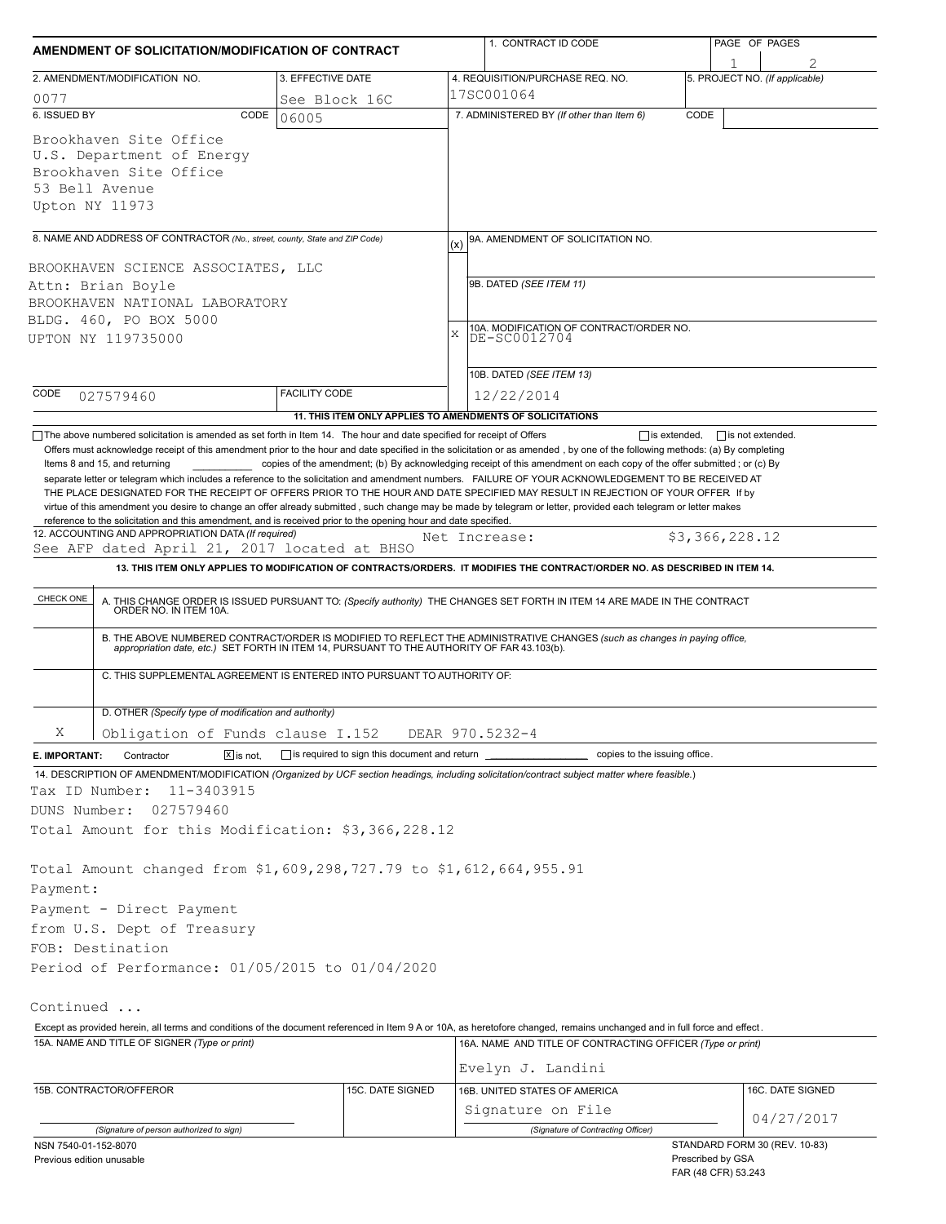| AMENDMENT OF SOLICITATION/MODIFICATION OF CONTRACT                                                                                                                                                                                                                                                                                                                                                                                                                                                                                                                                                                                  |                                                           |               | 1. CONTRACT ID CODE                                                                                                                                                                                                   | PAGE OF PAGES                            |                                     |  |  |  |
|-------------------------------------------------------------------------------------------------------------------------------------------------------------------------------------------------------------------------------------------------------------------------------------------------------------------------------------------------------------------------------------------------------------------------------------------------------------------------------------------------------------------------------------------------------------------------------------------------------------------------------------|-----------------------------------------------------------|---------------|-----------------------------------------------------------------------------------------------------------------------------------------------------------------------------------------------------------------------|------------------------------------------|-------------------------------------|--|--|--|
| 2. AMENDMENT/MODIFICATION NO.                                                                                                                                                                                                                                                                                                                                                                                                                                                                                                                                                                                                       | 3. EFFECTIVE DATE                                         |               | 4. REQUISITION/PURCHASE REQ. NO.                                                                                                                                                                                      |                                          | 1<br>5. PROJECT NO. (If applicable) |  |  |  |
| 0077                                                                                                                                                                                                                                                                                                                                                                                                                                                                                                                                                                                                                                | See Block 16C                                             |               | 17SC001064                                                                                                                                                                                                            |                                          |                                     |  |  |  |
| 6. ISSUED BY<br>CODE                                                                                                                                                                                                                                                                                                                                                                                                                                                                                                                                                                                                                | 06005                                                     |               | 7. ADMINISTERED BY (If other than Item 6)                                                                                                                                                                             | CODE                                     |                                     |  |  |  |
| Brookhaven Site Office<br>U.S. Department of Energy<br>Brookhaven Site Office<br>53 Bell Avenue<br>Upton NY 11973                                                                                                                                                                                                                                                                                                                                                                                                                                                                                                                   |                                                           |               |                                                                                                                                                                                                                       |                                          |                                     |  |  |  |
| 8. NAME AND ADDRESS OF CONTRACTOR (No., street, county, State and ZIP Code)                                                                                                                                                                                                                                                                                                                                                                                                                                                                                                                                                         |                                                           |               | 9A. AMENDMENT OF SOLICITATION NO.                                                                                                                                                                                     |                                          |                                     |  |  |  |
|                                                                                                                                                                                                                                                                                                                                                                                                                                                                                                                                                                                                                                     |                                                           |               | (x)<br>9B. DATED (SEE ITEM 11)                                                                                                                                                                                        |                                          |                                     |  |  |  |
| BROOKHAVEN SCIENCE ASSOCIATES, LLC                                                                                                                                                                                                                                                                                                                                                                                                                                                                                                                                                                                                  |                                                           |               |                                                                                                                                                                                                                       |                                          |                                     |  |  |  |
| Attn: Brian Boyle<br>BROOKHAVEN NATIONAL LABORATORY                                                                                                                                                                                                                                                                                                                                                                                                                                                                                                                                                                                 |                                                           |               |                                                                                                                                                                                                                       |                                          |                                     |  |  |  |
| BLDG. 460, PO BOX 5000                                                                                                                                                                                                                                                                                                                                                                                                                                                                                                                                                                                                              |                                                           |               |                                                                                                                                                                                                                       |                                          |                                     |  |  |  |
| UPTON NY 119735000                                                                                                                                                                                                                                                                                                                                                                                                                                                                                                                                                                                                                  |                                                           | X             | 10A. MODIFICATION OF CONTRACT/ORDER NO.<br>DE-SC0012704                                                                                                                                                               |                                          |                                     |  |  |  |
|                                                                                                                                                                                                                                                                                                                                                                                                                                                                                                                                                                                                                                     |                                                           |               |                                                                                                                                                                                                                       |                                          |                                     |  |  |  |
|                                                                                                                                                                                                                                                                                                                                                                                                                                                                                                                                                                                                                                     |                                                           |               | 10B. DATED (SEE ITEM 13)                                                                                                                                                                                              |                                          |                                     |  |  |  |
| CODE<br>027579460                                                                                                                                                                                                                                                                                                                                                                                                                                                                                                                                                                                                                   | <b>FACILITY CODE</b>                                      |               | 12/22/2014                                                                                                                                                                                                            |                                          |                                     |  |  |  |
|                                                                                                                                                                                                                                                                                                                                                                                                                                                                                                                                                                                                                                     | 11. THIS ITEM ONLY APPLIES TO AMENDMENTS OF SOLICITATIONS |               |                                                                                                                                                                                                                       |                                          |                                     |  |  |  |
| separate letter or telegram which includes a reference to the solicitation and amendment numbers. FAILURE OF YOUR ACKNOWLEDGEMENT TO BE RECEIVED AT<br>THE PLACE DESIGNATED FOR THE RECEIPT OF OFFERS PRIOR TO THE HOUR AND DATE SPECIFIED MAY RESULT IN REJECTION OF YOUR OFFER If by<br>virtue of this amendment you desire to change an offer already submitted, such change may be made by telegram or letter, provided each telegram or letter makes<br>reference to the solicitation and this amendment, and is received prior to the opening hour and date specified.<br>12. ACCOUNTING AND APPROPRIATION DATA (If required) |                                                           | Net Increase: |                                                                                                                                                                                                                       |                                          | \$3,366,228.12                      |  |  |  |
| See AFP dated April 21, 2017 located at BHSO                                                                                                                                                                                                                                                                                                                                                                                                                                                                                                                                                                                        |                                                           |               |                                                                                                                                                                                                                       |                                          |                                     |  |  |  |
|                                                                                                                                                                                                                                                                                                                                                                                                                                                                                                                                                                                                                                     |                                                           |               | 13. THIS ITEM ONLY APPLIES TO MODIFICATION OF CONTRACTS/ORDERS. IT MODIFIES THE CONTRACT/ORDER NO. AS DESCRIBED IN ITEM 14.                                                                                           |                                          |                                     |  |  |  |
| CHECK ONE                                                                                                                                                                                                                                                                                                                                                                                                                                                                                                                                                                                                                           |                                                           |               | A. THIS CHANGE ORDER IS ISSUED PURSUANT TO: (Specify authority) THE CHANGES SET FORTH IN ITEM 14 ARE MADE IN THE CONTRACT ORDER NO. IN ITEM 10A.                                                                      |                                          |                                     |  |  |  |
|                                                                                                                                                                                                                                                                                                                                                                                                                                                                                                                                                                                                                                     |                                                           |               | B. THE ABOVE NUMBERED CONTRACT/ORDER IS MODIFIED TO REFLECT THE ADMINISTRATIVE CHANGES (such as changes in paying office, appropriation date, etc.) SET FORTH IN ITEM 14, PURSUANT TO THE AUTHORITY OF FAR 43.103(b). |                                          |                                     |  |  |  |
| C. THIS SUPPLEMENTAL AGREEMENT IS ENTERED INTO PURSUANT TO AUTHORITY OF:                                                                                                                                                                                                                                                                                                                                                                                                                                                                                                                                                            |                                                           |               |                                                                                                                                                                                                                       |                                          |                                     |  |  |  |
| D. OTHER (Specify type of modification and authority)                                                                                                                                                                                                                                                                                                                                                                                                                                                                                                                                                                               |                                                           |               |                                                                                                                                                                                                                       |                                          |                                     |  |  |  |
| Χ<br>Obligation of Funds clause I.152                                                                                                                                                                                                                                                                                                                                                                                                                                                                                                                                                                                               |                                                           |               | DEAR 970.5232-4                                                                                                                                                                                                       |                                          |                                     |  |  |  |
| $X$ is not.<br>E. IMPORTANT:<br>Contractor                                                                                                                                                                                                                                                                                                                                                                                                                                                                                                                                                                                          | is required to sign this document and return              |               | copies to the issuing office.                                                                                                                                                                                         |                                          |                                     |  |  |  |
| 14. DESCRIPTION OF AMENDMENT/MODIFICATION (Organized by UCF section headings, including solicitation/contract subject matter where feasible.)                                                                                                                                                                                                                                                                                                                                                                                                                                                                                       |                                                           |               |                                                                                                                                                                                                                       |                                          |                                     |  |  |  |
| 11-3403915<br>Tax ID Number:                                                                                                                                                                                                                                                                                                                                                                                                                                                                                                                                                                                                        |                                                           |               |                                                                                                                                                                                                                       |                                          |                                     |  |  |  |
| DUNS Number:<br>027579460                                                                                                                                                                                                                                                                                                                                                                                                                                                                                                                                                                                                           |                                                           |               |                                                                                                                                                                                                                       |                                          |                                     |  |  |  |
| Total Amount for this Modification: \$3,366,228.12                                                                                                                                                                                                                                                                                                                                                                                                                                                                                                                                                                                  |                                                           |               |                                                                                                                                                                                                                       |                                          |                                     |  |  |  |
|                                                                                                                                                                                                                                                                                                                                                                                                                                                                                                                                                                                                                                     |                                                           |               |                                                                                                                                                                                                                       |                                          |                                     |  |  |  |
| Total Amount changed from \$1,609,298,727.79 to \$1,612,664,955.91                                                                                                                                                                                                                                                                                                                                                                                                                                                                                                                                                                  |                                                           |               |                                                                                                                                                                                                                       |                                          |                                     |  |  |  |
| Payment:                                                                                                                                                                                                                                                                                                                                                                                                                                                                                                                                                                                                                            |                                                           |               |                                                                                                                                                                                                                       |                                          |                                     |  |  |  |
| Payment - Direct Payment                                                                                                                                                                                                                                                                                                                                                                                                                                                                                                                                                                                                            |                                                           |               |                                                                                                                                                                                                                       |                                          |                                     |  |  |  |
| from U.S. Dept of Treasury                                                                                                                                                                                                                                                                                                                                                                                                                                                                                                                                                                                                          |                                                           |               |                                                                                                                                                                                                                       |                                          |                                     |  |  |  |
| FOB: Destination                                                                                                                                                                                                                                                                                                                                                                                                                                                                                                                                                                                                                    |                                                           |               |                                                                                                                                                                                                                       |                                          |                                     |  |  |  |
| Period of Performance: 01/05/2015 to 01/04/2020                                                                                                                                                                                                                                                                                                                                                                                                                                                                                                                                                                                     |                                                           |               |                                                                                                                                                                                                                       |                                          |                                     |  |  |  |
|                                                                                                                                                                                                                                                                                                                                                                                                                                                                                                                                                                                                                                     |                                                           |               |                                                                                                                                                                                                                       |                                          |                                     |  |  |  |
| Continued                                                                                                                                                                                                                                                                                                                                                                                                                                                                                                                                                                                                                           |                                                           |               |                                                                                                                                                                                                                       |                                          |                                     |  |  |  |
| Except as provided herein, all terms and conditions of the document referenced in Item 9 A or 10A, as heretofore changed, remains unchanged and in full force and effect.                                                                                                                                                                                                                                                                                                                                                                                                                                                           |                                                           |               |                                                                                                                                                                                                                       |                                          |                                     |  |  |  |
| 15A. NAME AND TITLE OF SIGNER (Type or print)                                                                                                                                                                                                                                                                                                                                                                                                                                                                                                                                                                                       |                                                           |               | 16A. NAME AND TITLE OF CONTRACTING OFFICER (Type or print)                                                                                                                                                            |                                          |                                     |  |  |  |
|                                                                                                                                                                                                                                                                                                                                                                                                                                                                                                                                                                                                                                     |                                                           |               | Evelyn J. Landini                                                                                                                                                                                                     |                                          |                                     |  |  |  |
| 15B. CONTRACTOR/OFFEROR                                                                                                                                                                                                                                                                                                                                                                                                                                                                                                                                                                                                             | 15C. DATE SIGNED                                          |               | 16B. UNITED STATES OF AMERICA                                                                                                                                                                                         |                                          | 16C. DATE SIGNED                    |  |  |  |
|                                                                                                                                                                                                                                                                                                                                                                                                                                                                                                                                                                                                                                     |                                                           |               | Signature on File                                                                                                                                                                                                     |                                          | 04/27/2017                          |  |  |  |
| (Signature of person authorized to sign)                                                                                                                                                                                                                                                                                                                                                                                                                                                                                                                                                                                            |                                                           |               | (Signature of Contracting Officer)                                                                                                                                                                                    |                                          |                                     |  |  |  |
| NSN 7540-01-152-8070<br>Previous edition unusable                                                                                                                                                                                                                                                                                                                                                                                                                                                                                                                                                                                   |                                                           |               |                                                                                                                                                                                                                       | Prescribed by GSA<br>FAR (48 CFR) 53.243 | STANDARD FORM 30 (REV. 10-83)       |  |  |  |